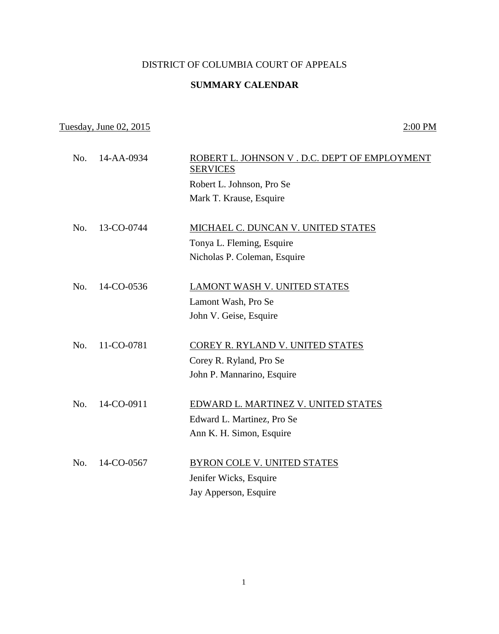## DISTRICT OF COLUMBIA COURT OF APPEALS

## **SUMMARY CALENDAR**

## Tuesday, June 02, 2015 2:00 PM

| No. | 14-AA-0934 | ROBERT L. JOHNSON V. D.C. DEP'T OF EMPLOYMENT<br><b>SERVICES</b>                                |
|-----|------------|-------------------------------------------------------------------------------------------------|
|     |            | Robert L. Johnson, Pro Se<br>Mark T. Krause, Esquire                                            |
| No. | 13-CO-0744 | MICHAEL C. DUNCAN V. UNITED STATES<br>Tonya L. Fleming, Esquire<br>Nicholas P. Coleman, Esquire |
| No. | 14-CO-0536 | LAMONT WASH V. UNITED STATES<br>Lamont Wash, Pro Se<br>John V. Geise, Esquire                   |
| No. | 11-CO-0781 | COREY R. RYLAND V. UNITED STATES<br>Corey R. Ryland, Pro Se<br>John P. Mannarino, Esquire       |
| No. | 14-CO-0911 | EDWARD L. MARTINEZ V. UNITED STATES<br>Edward L. Martinez, Pro Se<br>Ann K. H. Simon, Esquire   |
| No. | 14-CO-0567 | <b>BYRON COLE V. UNITED STATES</b><br>Jenifer Wicks, Esquire<br>Jay Apperson, Esquire           |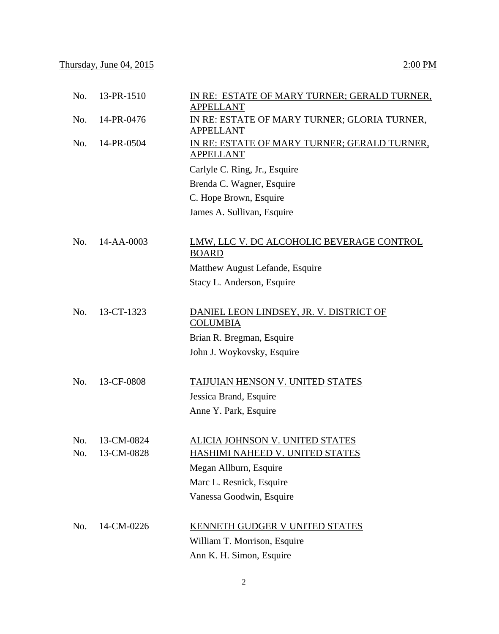| No. | 13-PR-1510 | IN RE: ESTATE OF MARY TURNER; GERALD TURNER,<br><b>APPELLANT</b> |
|-----|------------|------------------------------------------------------------------|
| No. | 14-PR-0476 | IN RE: ESTATE OF MARY TURNER; GLORIA TURNER,<br><b>APPELLANT</b> |
| No. | 14-PR-0504 | IN RE: ESTATE OF MARY TURNER; GERALD TURNER,<br><b>APPELLANT</b> |
|     |            | Carlyle C. Ring, Jr., Esquire                                    |
|     |            | Brenda C. Wagner, Esquire                                        |
|     |            | C. Hope Brown, Esquire                                           |
|     |            | James A. Sullivan, Esquire                                       |
| No. | 14-AA-0003 | LMW, LLC V. DC ALCOHOLIC BEVERAGE CONTROL<br><b>BOARD</b>        |
|     |            | Matthew August Lefande, Esquire                                  |
|     |            | Stacy L. Anderson, Esquire                                       |
|     |            |                                                                  |
| No. | 13-CT-1323 | DANIEL LEON LINDSEY, JR. V. DISTRICT OF<br><b>COLUMBIA</b>       |
|     |            | Brian R. Bregman, Esquire                                        |
|     |            | John J. Woykovsky, Esquire                                       |
| No. | 13-CF-0808 | TAIJUIAN HENSON V. UNITED STATES                                 |
|     |            | Jessica Brand, Esquire                                           |
|     |            | Anne Y. Park, Esquire                                            |
| No. | 13-CM-0824 | ALICIA JOHNSON V. UNITED STATES                                  |
| No. | 13-CM-0828 | HASHIMI NAHEED V. UNITED STATES                                  |
|     |            | Megan Allburn, Esquire                                           |
|     |            | Marc L. Resnick, Esquire                                         |
|     |            | Vanessa Goodwin, Esquire                                         |
| No. | 14-CM-0226 | <b>KENNETH GUDGER V UNITED STATES</b>                            |
|     |            | William T. Morrison, Esquire                                     |
|     |            | Ann K. H. Simon, Esquire                                         |

2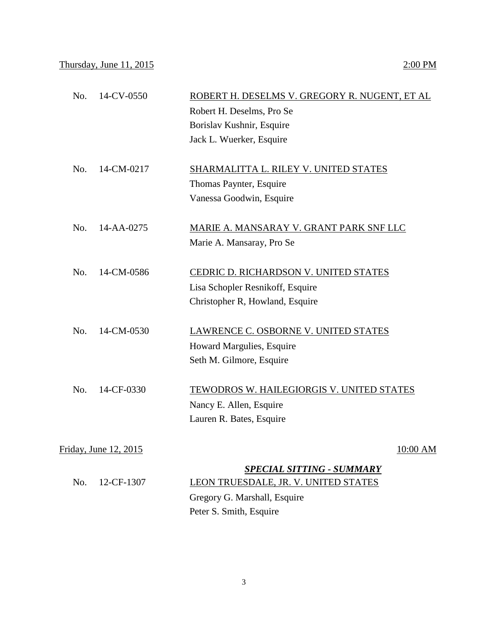| No. | 14-CV-0550            | ROBERT H. DESELMS V. GREGORY R. NUGENT, ET AL |  |
|-----|-----------------------|-----------------------------------------------|--|
|     |                       | Robert H. Deselms, Pro Se                     |  |
|     |                       | Borislav Kushnir, Esquire                     |  |
|     |                       | Jack L. Wuerker, Esquire                      |  |
|     |                       |                                               |  |
| No. | 14-CM-0217            | SHARMALITTA L. RILEY V. UNITED STATES         |  |
|     |                       | Thomas Paynter, Esquire                       |  |
|     |                       | Vanessa Goodwin, Esquire                      |  |
|     |                       |                                               |  |
| No. | 14-AA-0275            | MARIE A. MANSARAY V. GRANT PARK SNF LLC       |  |
|     |                       | Marie A. Mansaray, Pro Se                     |  |
|     |                       |                                               |  |
| No. | 14-CM-0586            | CEDRIC D. RICHARDSON V. UNITED STATES         |  |
|     |                       | Lisa Schopler Resnikoff, Esquire              |  |
|     |                       | Christopher R, Howland, Esquire               |  |
|     |                       |                                               |  |
| No. | 14-CM-0530            | LAWRENCE C. OSBORNE V. UNITED STATES          |  |
|     |                       | Howard Margulies, Esquire                     |  |
|     |                       | Seth M. Gilmore, Esquire                      |  |
|     |                       |                                               |  |
| No. | 14-CF-0330            | TEWODROS W. HAILEGIORGIS V. UNITED STATES     |  |
|     |                       | Nancy E. Allen, Esquire                       |  |
|     |                       | Lauren R. Bates, Esquire                      |  |
|     |                       |                                               |  |
|     | Friday, June 12, 2015 | 10:00 AM                                      |  |
|     |                       | <b>SPECIAL SITTING - SUMMARY</b>              |  |
| No. | 12-CF-1307            | LEON TRUESDALE, JR. V. UNITED STATES          |  |
|     |                       | Gregory G. Marshall, Esquire                  |  |

Peter S. Smith, Esquire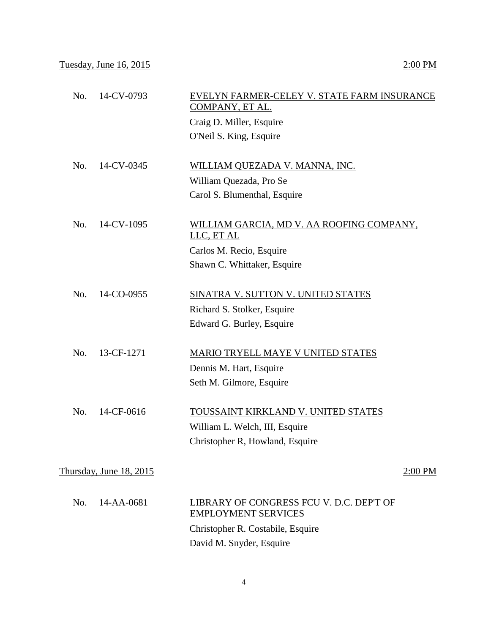| 14-CV-0793<br>No.       | EVELYN FARMER-CELEY V. STATE FARM INSURANCE<br>COMPANY, ET AL.         |
|-------------------------|------------------------------------------------------------------------|
|                         | Craig D. Miller, Esquire                                               |
|                         | O'Neil S. King, Esquire                                                |
|                         |                                                                        |
| 14-CV-0345<br>No.       | WILLIAM QUEZADA V. MANNA, INC.                                         |
|                         | William Quezada, Pro Se                                                |
|                         | Carol S. Blumenthal, Esquire                                           |
| 14-CV-1095<br>No.       | WILLIAM GARCIA, MD V. AA ROOFING COMPANY,<br>LLC, ET AL                |
|                         | Carlos M. Recio, Esquire                                               |
|                         | Shawn C. Whittaker, Esquire                                            |
|                         |                                                                        |
| No.<br>14-CO-0955       | SINATRA V. SUTTON V. UNITED STATES                                     |
|                         | Richard S. Stolker, Esquire                                            |
|                         | Edward G. Burley, Esquire                                              |
| 13-CF-1271<br>No.       | <b>MARIO TRYELL MAYE V UNITED STATES</b>                               |
|                         | Dennis M. Hart, Esquire                                                |
|                         | Seth M. Gilmore, Esquire                                               |
| 14-CF-0616<br>No.       | TOUSSAINT KIRKLAND V. UNITED STATES                                    |
|                         |                                                                        |
|                         | William L. Welch, III, Esquire<br>Christopher R, Howland, Esquire      |
|                         |                                                                        |
| Thursday, June 18, 2015 | 2:00 PM                                                                |
| 14-AA-0681<br>No.       | LIBRARY OF CONGRESS FCU V. D.C. DEP'T OF<br><b>EMPLOYMENT SERVICES</b> |
|                         | Christopher R. Costabile, Esquire                                      |
|                         | David M. Snyder, Esquire                                               |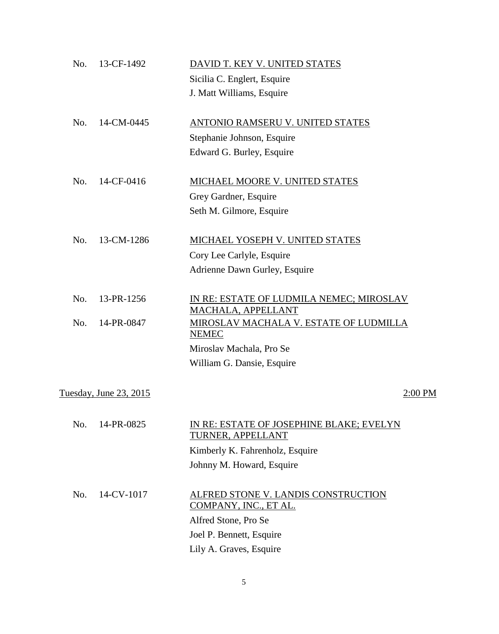| No. | 13-CF-1492             | DAVID T. KEY V. UNITED STATES                                  |         |
|-----|------------------------|----------------------------------------------------------------|---------|
|     |                        | Sicilia C. Englert, Esquire                                    |         |
|     |                        | J. Matt Williams, Esquire                                      |         |
| No. | 14-CM-0445             | ANTONIO RAMSERU V. UNITED STATES                               |         |
|     |                        | Stephanie Johnson, Esquire                                     |         |
|     |                        | Edward G. Burley, Esquire                                      |         |
| No. | 14-CF-0416             | MICHAEL MOORE V. UNITED STATES                                 |         |
|     |                        | Grey Gardner, Esquire                                          |         |
|     |                        | Seth M. Gilmore, Esquire                                       |         |
| No. | 13-CM-1286             | MICHAEL YOSEPH V. UNITED STATES                                |         |
|     |                        | Cory Lee Carlyle, Esquire                                      |         |
|     |                        | Adrienne Dawn Gurley, Esquire                                  |         |
| No. | 13-PR-1256             | IN RE: ESTATE OF LUDMILA NEMEC; MIROSLAV<br>MACHALA, APPELLANT |         |
| No. | 14-PR-0847             | MIROSLAV MACHALA V. ESTATE OF LUDMILLA<br><b>NEMEC</b>         |         |
|     |                        | Miroslav Machala, Pro Se                                       |         |
|     |                        | William G. Dansie, Esquire                                     |         |
|     | Tuesday, June 23, 2015 |                                                                | 2:00 PM |
| No. | 14-PR-0825             | IN RE: ESTATE OF JOSEPHINE BLAKE; EVELYN<br>TURNER, APPELLANT  |         |
|     |                        | Kimberly K. Fahrenholz, Esquire                                |         |
|     |                        | Johnny M. Howard, Esquire                                      |         |
| No. | 14-CV-1017             | ALFRED STONE V. LANDIS CONSTRUCTION<br>COMPANY, INC., ET AL.   |         |
|     |                        | Alfred Stone, Pro Se                                           |         |
|     |                        | Joel P. Bennett, Esquire                                       |         |
|     |                        | Lily A. Graves, Esquire                                        |         |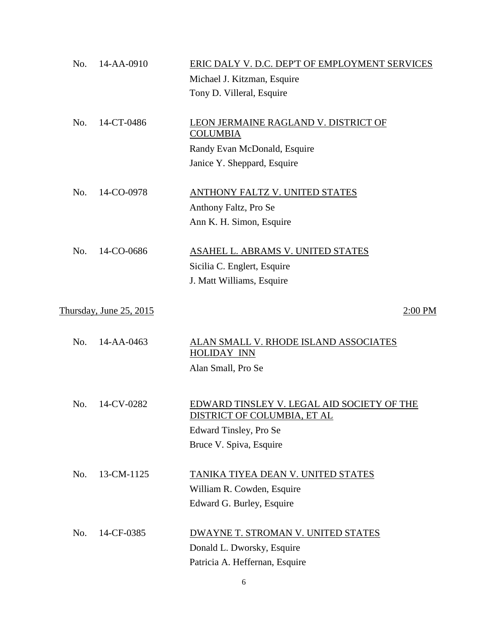| No. | 14-AA-0910              | ERIC DALY V. D.C. DEP'T OF EMPLOYMENT SERVICES           |
|-----|-------------------------|----------------------------------------------------------|
|     |                         | Michael J. Kitzman, Esquire                              |
|     |                         | Tony D. Villeral, Esquire                                |
|     |                         |                                                          |
| No. | 14-CT-0486              | LEON JERMAINE RAGLAND V. DISTRICT OF                     |
|     |                         | <b>COLUMBIA</b>                                          |
|     |                         | Randy Evan McDonald, Esquire                             |
|     |                         | Janice Y. Sheppard, Esquire                              |
|     |                         |                                                          |
| No. | 14-CO-0978              | <b>ANTHONY FALTZ V. UNITED STATES</b>                    |
|     |                         | Anthony Faltz, Pro Se                                    |
|     |                         | Ann K. H. Simon, Esquire                                 |
| No. | 14-CO-0686              | ASAHEL L. ABRAMS V. UNITED STATES                        |
|     |                         |                                                          |
|     |                         | Sicilia C. Englert, Esquire<br>J. Matt Williams, Esquire |
|     |                         |                                                          |
|     | Thursday, June 25, 2015 | 2:00 PM                                                  |
|     |                         |                                                          |
| No. | 14-AA-0463              | <u>ALAN SMALL V. RHODE ISLAND ASSOCIATES</u>             |
|     |                         | <b>HOLIDAY INN</b>                                       |
|     |                         | Alan Small, Pro Se                                       |
|     |                         |                                                          |
| No. | 14-CV-0282              | EDWARD TINSLEY V. LEGAL AID SOCIETY OF THE               |
|     |                         | <u>DISTRICT OF COLUMBIA, ET AL</u>                       |
|     |                         | Edward Tinsley, Pro Se                                   |
|     |                         | Bruce V. Spiva, Esquire                                  |
|     |                         |                                                          |
| No. | 13-CM-1125              | TANIKA TIYEA DEAN V. UNITED STATES                       |
|     |                         | William R. Cowden, Esquire                               |
|     |                         | Edward G. Burley, Esquire                                |
|     |                         |                                                          |
| No. | 14-CF-0385              | DWAYNE T. STROMAN V. UNITED STATES                       |
|     |                         | Donald L. Dworsky, Esquire                               |
|     |                         | Patricia A. Heffernan, Esquire                           |

6